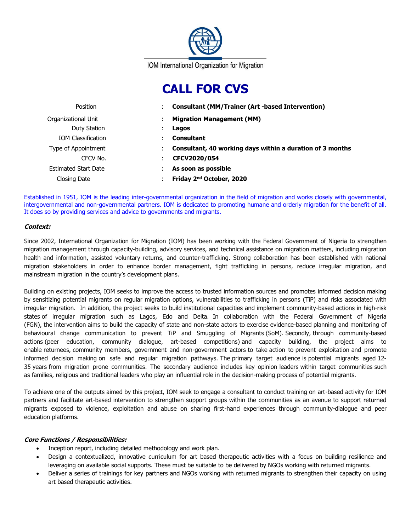

# **CALL FOR CVS**

| Position                    | <b>Consultant (MM/Trainer (Art -based Intervention)</b>   |  |
|-----------------------------|-----------------------------------------------------------|--|
| Organizational Unit         | <b>Migration Management (MM)</b>                          |  |
| Duty Station                | Lagos                                                     |  |
| <b>IOM Classification</b>   | <b>Consultant</b>                                         |  |
| Type of Appointment         | Consultant, 40 working days within a duration of 3 months |  |
| CFCV No.                    | CFCV2020/054                                              |  |
| <b>Estimated Start Date</b> | As soon as possible                                       |  |
| Closing Date                | Friday 2 <sup>nd</sup> October, 2020                      |  |

Established in 1951, IOM is the leading inter-governmental organization in the field of migration and works closely with governmental, intergovernmental and non-governmental partners. IOM is dedicated to promoting humane and orderly migration for the benefit of all. It does so by providing services and advice to governments and migrants.

## **Context:**

Since 2002, International Organization for Migration (IOM) has been working with the Federal Government of Nigeria to strengthen migration management through capacity-building, advisory services, and technical assistance on migration matters, including migration health and information, assisted voluntary returns, and counter-trafficking. Strong collaboration has been established with national migration stakeholders in order to enhance border management, fight trafficking in persons, reduce irregular migration, and mainstream migration in the country's development plans.

Building on existing projects, IOM seeks to improve the access to trusted information sources and promotes informed decision making by sensitizing potential migrants on regular migration options, vulnerabilities to trafficking in persons (TiP) and risks associated with irregular migration. In addition, the project seeks to build institutional capacities and implement community-based actions in high-risk states of irregular migration such as Lagos, Edo and Delta. In collaboration with the Federal Government of Nigeria (FGN), the intervention aims to build the capacity of state and non-state actors to exercise evidence-based planning and monitoring of behavioural change communication to prevent TiP and Smuggling of Migrants (SoM). Secondly, through community-based actions (peer education, community dialogue, art-based competitions) and capacity building, the project aims to enable returnees, community members, government and non-government actors to take action to prevent exploitation and promote informed decision making on safe and regular migration pathways. The primary target audience is potential migrants aged 12- 35 years from migration prone communities. The secondary audience includes key opinion leaders within target communities such as families, religious and traditional leaders who play an influential role in the decision-making process of potential migrants.

To achieve one of the outputs aimed by this project, IOM seek to engage a consultant to conduct training on art-based activity for IOM partners and facilitate art-based intervention to strengthen support groups within the communities as an avenue to support returned migrants exposed to violence, exploitation and abuse on sharing first-hand experiences through community-dialogue and peer education platforms.

# **Core Functions / Responsibilities:**

- Inception report, including detailed methodology and work plan.
- Design a contextualized, innovative curriculum for art based therapeutic activities with a focus on building resilience and leveraging on available social supports. These must be suitable to be delivered by NGOs working with returned migrants.
- Deliver a series of trainings for key partners and NGOs working with returned migrants to strengthen their capacity on using art based therapeutic activities.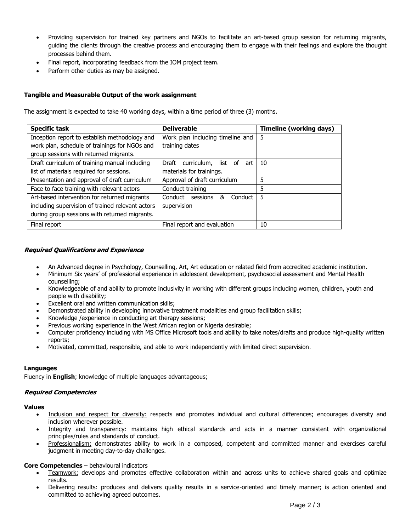- Providing supervision for trained key partners and NGOs to facilitate an art-based group session for returning migrants, guiding the clients through the creative process and encouraging them to engage with their feelings and explore the thought processes behind them.
- Final report, incorporating feedback from the IOM project team.
- Perform other duties as may be assigned.

# **Tangible and Measurable Output of the work assignment**

The assignment is expected to take 40 working days, within a time period of three (3) months.

| <b>Specific task</b>                             | <b>Deliverable</b>                     | <b>Timeline (working days)</b> |
|--------------------------------------------------|----------------------------------------|--------------------------------|
| Inception report to establish methodology and    | Work plan including timeline and       | 5                              |
| work plan, schedule of trainings for NGOs and    | training dates                         |                                |
| group sessions with returned migrants.           |                                        |                                |
| Draft curriculum of training manual including    | curriculum,<br>Draft<br>list of<br>art | 10                             |
| list of materials required for sessions.         | materials for trainings.               |                                |
| Presentation and approval of draft curriculum    | Approval of draft curriculum           | 5                              |
| Face to face training with relevant actors       | Conduct training                       | 5                              |
| Art-based intervention for returned migrants     | Conduct<br>Conduct<br>sessions<br>&    | .5                             |
| including supervision of trained relevant actors | supervision                            |                                |
| during group sessions with returned migrants.    |                                        |                                |
| Final report                                     | Final report and evaluation            | 10                             |

## **Required Qualifications and Experience**

- An Advanced degree in Psychology, Counselling, Art, Art education or related field from accredited academic institution.
- Minimum Six years' of professional experience in adolescent development, psychosocial assessment and Mental Health counselling;
- Knowledgeable of and ability to promote inclusivity in working with different groups including women, children, youth and people with disability;
- Excellent oral and written communication skills;
- Demonstrated ability in developing innovative treatment modalities and group facilitation skills;
- Knowledge /experience in conducting art therapy sessions;
- Previous working experience in the West African region or Nigeria desirable;
- Computer proficiency including with MS Office Microsoft tools and ability to take notes/drafts and produce high-quality written reports;
- Motivated, committed, responsible, and able to work independently with limited direct supervision.

#### **Languages**

Fluency in **English**; knowledge of multiple languages advantageous;

#### **Required Competencies**

#### **Values**

- Inclusion and respect for diversity: respects and promotes individual and cultural differences; encourages diversity and inclusion wherever possible.
- Integrity and transparency: maintains high ethical standards and acts in a manner consistent with organizational principles/rules and standards of conduct.
- Professionalism: demonstrates ability to work in a composed, competent and committed manner and exercises careful judgment in meeting day-to-day challenges.

#### **Core Competencies** – behavioural indicators

- **Teamwork:** develops and promotes effective collaboration within and across units to achieve shared goals and optimize results.
- Delivering results: produces and delivers quality results in a service-oriented and timely manner; is action oriented and committed to achieving agreed outcomes.